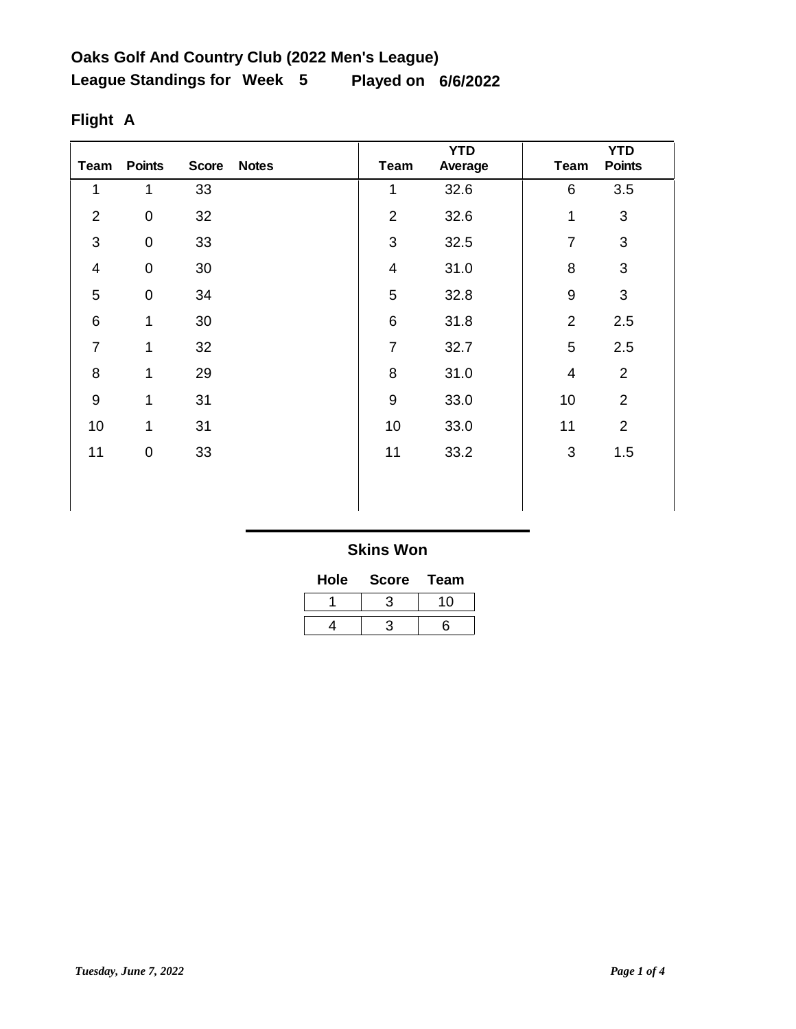| Team           | <b>Points</b>    | <b>Score</b> | <b>Notes</b> | Team                    | <b>YTD</b><br>Average | <b>Team</b>              | <b>YTD</b><br><b>Points</b> |
|----------------|------------------|--------------|--------------|-------------------------|-----------------------|--------------------------|-----------------------------|
| 1              | 1                | 33           |              | 1                       | 32.6                  | 6                        | 3.5                         |
| $\overline{2}$ | $\pmb{0}$        | 32           |              | $\overline{2}$          | 32.6                  | 1                        | 3                           |
| 3              | $\boldsymbol{0}$ | 33           |              | 3                       | 32.5                  | $\overline{7}$           | 3                           |
| $\overline{4}$ | $\pmb{0}$        | $30\,$       |              | $\overline{\mathbf{4}}$ | 31.0                  | 8                        | $\mathfrak{S}$              |
| 5              | $\pmb{0}$        | 34           |              | 5                       | 32.8                  | $\boldsymbol{9}$         | 3                           |
| $6\phantom{1}$ | 1                | 30           |              | $6\phantom{1}$          | 31.8                  | $\overline{2}$           | 2.5                         |
| $\overline{7}$ | 1                | 32           |              | $\overline{7}$          | 32.7                  | 5                        | 2.5                         |
| 8              | $\mathbf{1}$     | 29           |              | 8                       | 31.0                  | $\overline{\mathcal{A}}$ | $\overline{2}$              |
| 9              | 1                | 31           |              | $\boldsymbol{9}$        | 33.0                  | 10                       | $\overline{2}$              |
| 10             | 1                | 31           |              | 10                      | 33.0                  | 11                       | $\overline{2}$              |
| 11             | 0                | 33           |              | 11                      | 33.2                  | 3                        | 1.5                         |
|                |                  |              |              |                         |                       |                          |                             |
|                |                  |              |              |                         |                       |                          |                             |

# **Flight A**

| Hole | <b>Score</b> | Team |
|------|--------------|------|
|      |              | 10   |
|      |              | ิธ   |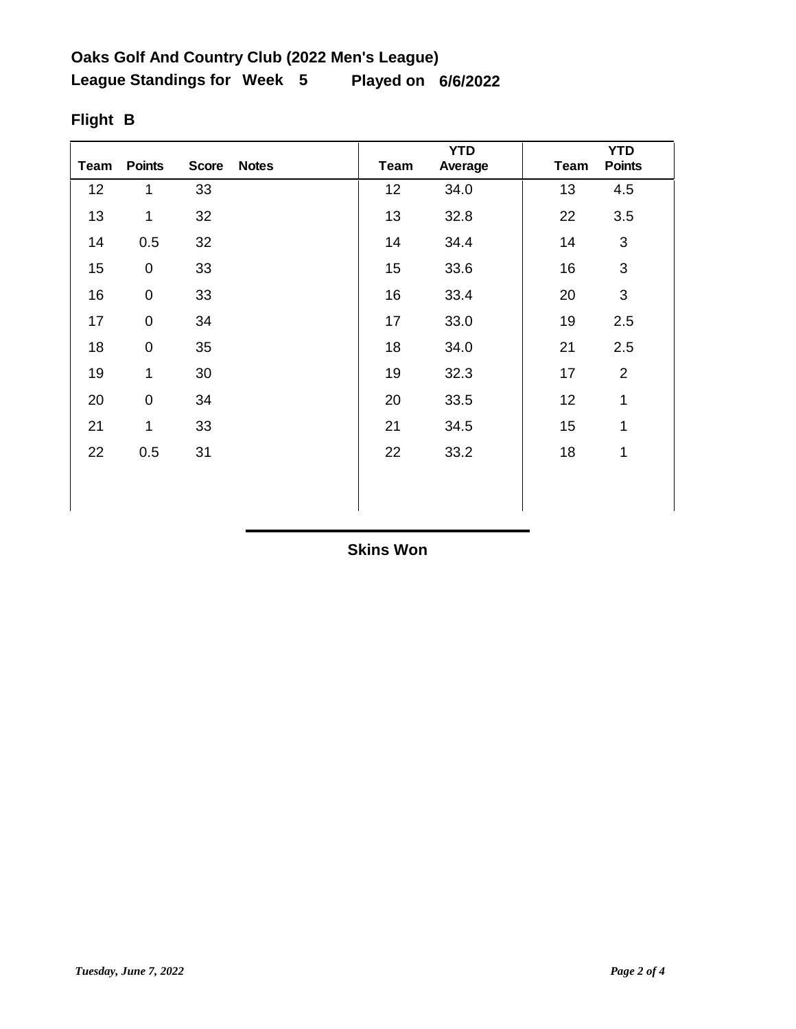| Team | <b>Points</b> | <b>Score</b> | <b>Notes</b> | <b>Team</b> | <b>YTD</b><br>Average | <b>Team</b> | <b>YTD</b><br><b>Points</b> |
|------|---------------|--------------|--------------|-------------|-----------------------|-------------|-----------------------------|
| 12   | $\mathbf{1}$  | 33           |              | 12          | 34.0                  | 13          | 4.5                         |
| 13   | 1             | 32           |              | 13          | 32.8                  | 22          | 3.5                         |
| 14   | 0.5           | 32           |              | 14          | 34.4                  | 14          | 3                           |
| 15   | $\pmb{0}$     | 33           |              | 15          | 33.6                  | 16          | 3                           |
| 16   | $\pmb{0}$     | 33           |              | 16          | 33.4                  | 20          | 3                           |
| 17   | $\pmb{0}$     | 34           |              | 17          | 33.0                  | 19          | 2.5                         |
| 18   | $\pmb{0}$     | 35           |              | 18          | 34.0                  | 21          | 2.5                         |
| 19   | 1             | 30           |              | 19          | 32.3                  | 17          | $\overline{2}$              |
| 20   | $\pmb{0}$     | 34           |              | 20          | 33.5                  | 12          | 1                           |
| 21   | 1             | 33           |              | 21          | 34.5                  | 15          | 1                           |
| 22   | 0.5           | 31           |              | 22          | 33.2                  | 18          | 1                           |
|      |               |              |              |             |                       |             |                             |
|      |               |              |              |             |                       |             |                             |

# **Flight B**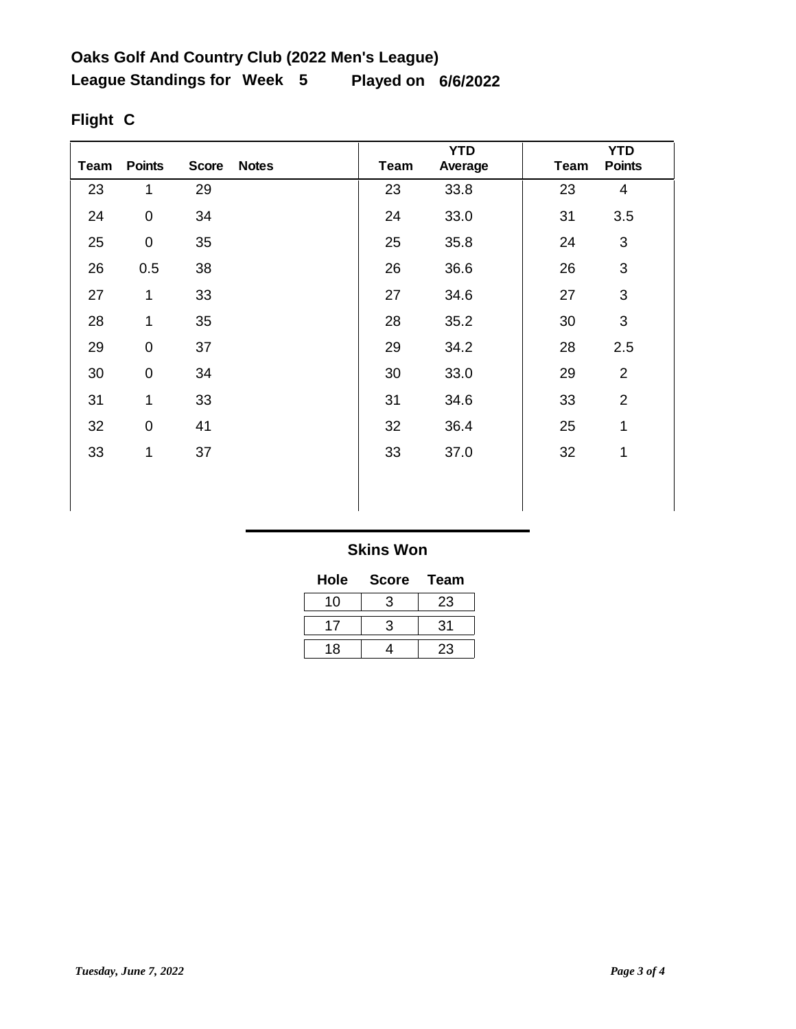| Team | <b>Points</b> | <b>Score</b> | <b>Notes</b> | Team | <b>YTD</b><br>Average | <b>Team</b> | <b>YTD</b><br><b>Points</b> |
|------|---------------|--------------|--------------|------|-----------------------|-------------|-----------------------------|
| 23   | 1             | 29           |              | 23   | 33.8                  | 23          | $\overline{\mathbf{4}}$     |
| 24   | $\pmb{0}$     | 34           |              | 24   | 33.0                  | 31          | 3.5                         |
| 25   | $\pmb{0}$     | 35           |              | 25   | 35.8                  | 24          | $\mathfrak{S}$              |
| 26   | 0.5           | 38           |              | 26   | 36.6                  | 26          | $\mathsf 3$                 |
| 27   | 1             | 33           |              | 27   | 34.6                  | 27          | $\mathfrak{S}$              |
| 28   | 1             | 35           |              | 28   | 35.2                  | 30          | 3                           |
| 29   | $\pmb{0}$     | 37           |              | 29   | 34.2                  | 28          | 2.5                         |
| 30   | $\pmb{0}$     | 34           |              | 30   | 33.0                  | 29          | $\overline{2}$              |
| 31   | 1             | 33           |              | 31   | 34.6                  | 33          | $\overline{2}$              |
| 32   | $\mathsf 0$   | 41           |              | 32   | 36.4                  | 25          | $\mathbf{1}$                |
| 33   | 1             | 37           |              | 33   | 37.0                  | 32          | 1                           |
|      |               |              |              |      |                       |             |                             |
|      |               |              |              |      |                       |             |                             |

# **Flight C**

| Hole | <b>Score</b> | <b>Team</b> |
|------|--------------|-------------|
| 10   | 3            | 23          |
|      | 3            | 31          |
| 18   |              | 23          |